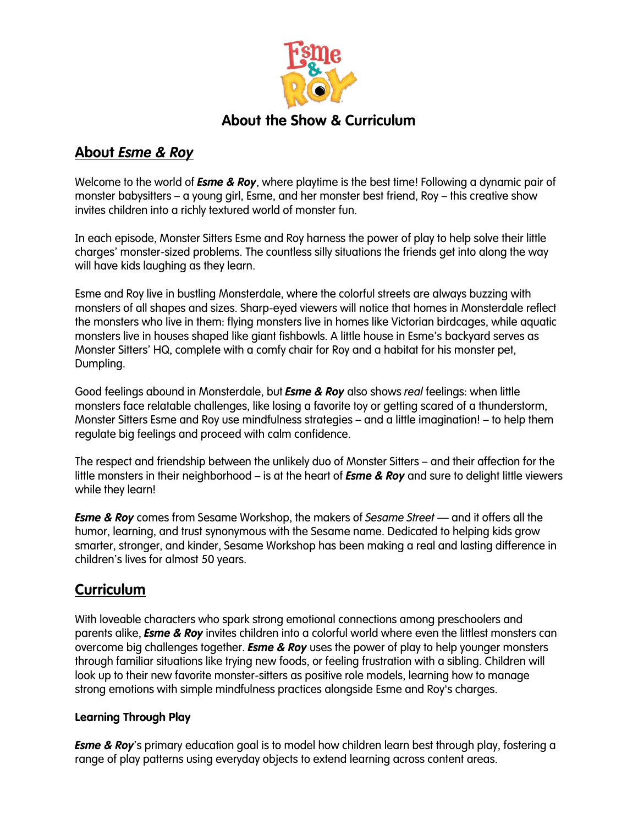

## **About the Show & Curriculum**

## **About** *Esme & Roy*

Welcome to the world of *Esme & Roy*, where playtime is the best time! Following a dynamic pair of monster babysitters – a young girl, Esme, and her monster best friend, Roy – this creative show invites children into a richly textured world of monster fun.

In each episode, Monster Sitters Esme and Roy harness the power of play to help solve their little charges' monster-sized problems. The countless silly situations the friends get into along the way will have kids laughing as they learn.

Esme and Roy live in bustling Monsterdale, where the colorful streets are always buzzing with monsters of all shapes and sizes. Sharp-eyed viewers will notice that homes in Monsterdale reflect the monsters who live in them: flying monsters live in homes like Victorian birdcages, while aquatic monsters live in houses shaped like giant fishbowls. A little house in Esme's backyard serves as Monster Sitters' HQ, complete with a comfy chair for Roy and a habitat for his monster pet, Dumpling.

Good feelings abound in Monsterdale, but *Esme & Roy* also shows *real* feelings: when little monsters face relatable challenges, like losing a favorite toy or getting scared of a thunderstorm, Monster Sitters Esme and Roy use mindfulness strategies – and a little imagination! – to help them regulate big feelings and proceed with calm confidence.

The respect and friendship between the unlikely duo of Monster Sitters – and their affection for the little monsters in their neighborhood – is at the heart of *Esme & Roy* and sure to delight little viewers while they learn!

*Esme & Roy* comes from Sesame Workshop, the makers of *Sesame Street* — and it offers all the humor, learning, and trust synonymous with the Sesame name. Dedicated to helping kids grow smarter, stronger, and kinder, Sesame Workshop has been making a real and lasting difference in children's lives for almost 50 years.

# **Curriculum**

With loveable characters who spark strong emotional connections among preschoolers and parents alike, *Esme & Roy* invites children into a colorful world where even the littlest monsters can overcome big challenges together. *Esme & Roy* uses the power of play to help younger monsters through familiar situations like trying new foods, or feeling frustration with a sibling. Children will look up to their new favorite monster-sitters as positive role models, learning how to manage strong emotions with simple mindfulness practices alongside Esme and Roy's charges.

### **Learning Through Play**

*Esme & Roy*'s primary education goal is to model how children learn best through play, fostering a range of play patterns using everyday objects to extend learning across content areas.